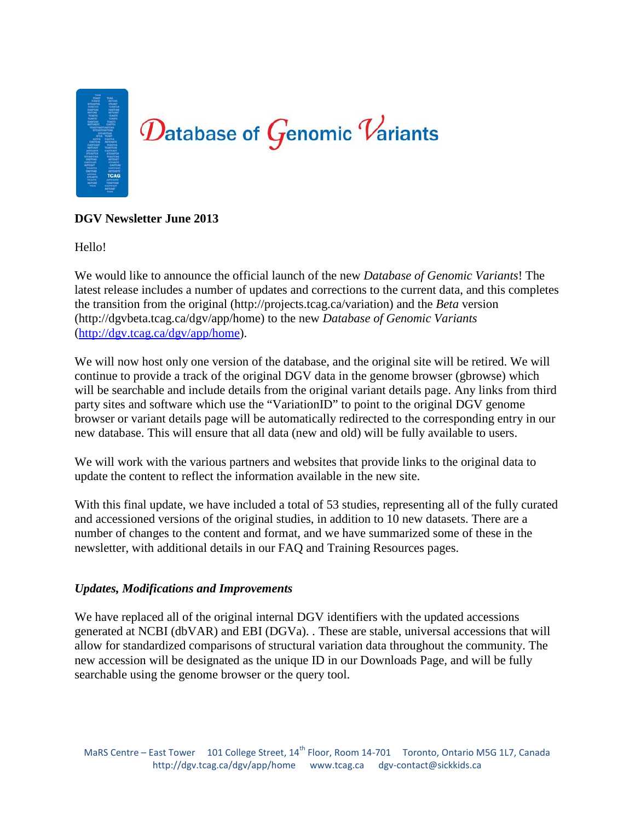

# **DGV Newsletter June 2013**

Hello!

We would like to announce the official launch of the new *Database of Genomic Variants*! The latest release includes a number of updates and corrections to the current data, and this completes the transition from the original (http://projects.tcag.ca/variation) and the *Beta* version (http://dgvbeta.tcag.ca/dgv/app/home) to the new *Database of Genomic Variants* [\(http://dgv.tcag.ca/dgv/app/home\)](http://dgv.tcag.ca/dgv/app/home).

We will now host only one version of the database, and the original site will be retired. We will continue to provide a track of the original DGV data in the genome browser (gbrowse) which will be searchable and include details from the original variant details page. Any links from third party sites and software which use the "VariationID" to point to the original DGV genome browser or variant details page will be automatically redirected to the corresponding entry in our new database. This will ensure that all data (new and old) will be fully available to users.

We will work with the various partners and websites that provide links to the original data to update the content to reflect the information available in the new site.

With this final update, we have included a total of 53 studies, representing all of the fully curated and accessioned versions of the original studies, in addition to 10 new datasets. There are a number of changes to the content and format, and we have summarized some of these in the newsletter, with additional details in our FAQ and Training Resources pages.

## *Updates, Modifications and Improvements*

We have replaced all of the original internal DGV identifiers with the updated accessions generated at NCBI (dbVAR) and EBI (DGVa). . These are stable, universal accessions that will allow for standardized comparisons of structural variation data throughout the community. The new accession will be designated as the unique ID in our Downloads Page, and will be fully searchable using the genome browser or the query tool.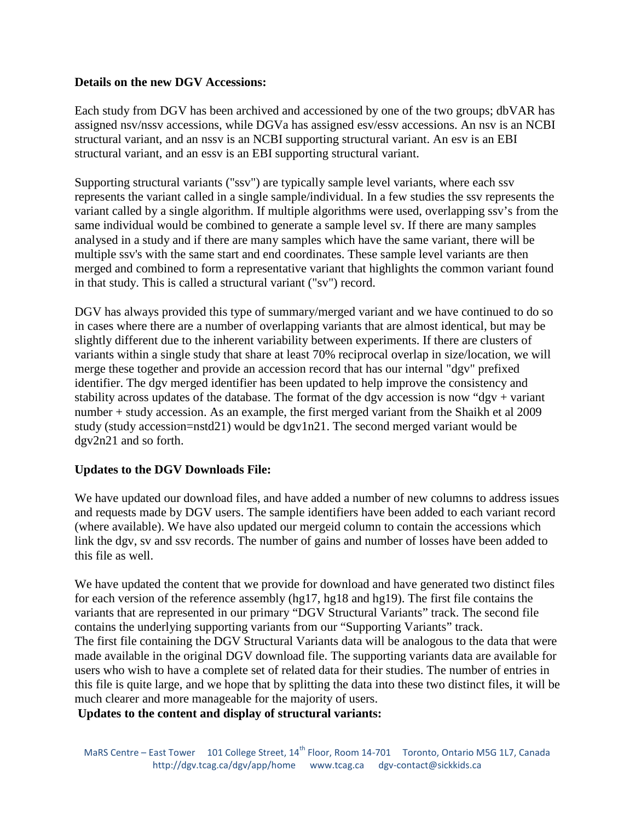# **Details on the new DGV Accessions:**

Each study from DGV has been archived and accessioned by one of the two groups; dbVAR has assigned nsv/nssv accessions, while DGVa has assigned esv/essv accessions. An nsv is an NCBI structural variant, and an nssv is an NCBI supporting structural variant. An esv is an EBI structural variant, and an essv is an EBI supporting structural variant.

Supporting structural variants ("ssv") are typically sample level variants, where each ssv represents the variant called in a single sample/individual. In a few studies the ssv represents the variant called by a single algorithm. If multiple algorithms were used, overlapping ssv's from the same individual would be combined to generate a sample level sv. If there are many samples analysed in a study and if there are many samples which have the same variant, there will be multiple ssv's with the same start and end coordinates. These sample level variants are then merged and combined to form a representative variant that highlights the common variant found in that study. This is called a structural variant ("sv") record.

DGV has always provided this type of summary/merged variant and we have continued to do so in cases where there are a number of overlapping variants that are almost identical, but may be slightly different due to the inherent variability between experiments. If there are clusters of variants within a single study that share at least 70% reciprocal overlap in size/location, we will merge these together and provide an accession record that has our internal "dgv" prefixed identifier. The dgv merged identifier has been updated to help improve the consistency and stability across updates of the database. The format of the dgv accession is now "dgv + variant" number + study accession. As an example, the first merged variant from the Shaikh et al 2009 study (study accession=nstd21) would be dgv1n21. The second merged variant would be dgv2n21 and so forth.

## **Updates to the DGV Downloads File:**

We have updated our download files, and have added a number of new columns to address issues and requests made by DGV users. The sample identifiers have been added to each variant record (where available). We have also updated our mergeid column to contain the accessions which link the dgv, sv and ssv records. The number of gains and number of losses have been added to this file as well.

We have updated the content that we provide for download and have generated two distinct files for each version of the reference assembly (hg17, hg18 and hg19). The first file contains the variants that are represented in our primary "DGV Structural Variants" track. The second file contains the underlying supporting variants from our "Supporting Variants" track. The first file containing the DGV Structural Variants data will be analogous to the data that were made available in the original DGV download file. The supporting variants data are available for users who wish to have a complete set of related data for their studies. The number of entries in this file is quite large, and we hope that by splitting the data into these two distinct files, it will be much clearer and more manageable for the majority of users.

**Updates to the content and display of structural variants:**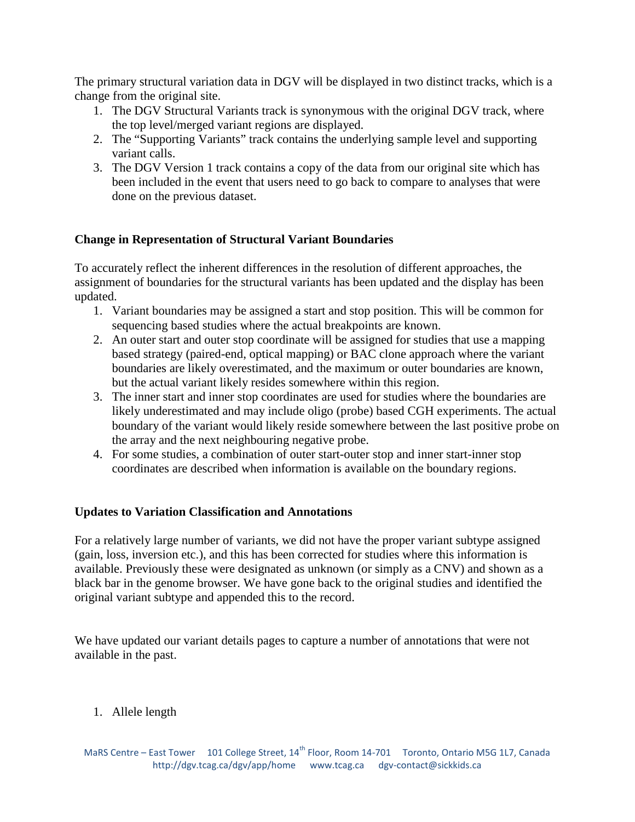The primary structural variation data in DGV will be displayed in two distinct tracks, which is a change from the original site.

- 1. The DGV Structural Variants track is synonymous with the original DGV track, where the top level/merged variant regions are displayed.
- 2. The "Supporting Variants" track contains the underlying sample level and supporting variant calls.
- 3. The DGV Version 1 track contains a copy of the data from our original site which has been included in the event that users need to go back to compare to analyses that were done on the previous dataset.

# **Change in Representation of Structural Variant Boundaries**

To accurately reflect the inherent differences in the resolution of different approaches, the assignment of boundaries for the structural variants has been updated and the display has been updated.

- 1. Variant boundaries may be assigned a start and stop position. This will be common for sequencing based studies where the actual breakpoints are known.
- 2. An outer start and outer stop coordinate will be assigned for studies that use a mapping based strategy (paired-end, optical mapping) or BAC clone approach where the variant boundaries are likely overestimated, and the maximum or outer boundaries are known, but the actual variant likely resides somewhere within this region.
- 3. The inner start and inner stop coordinates are used for studies where the boundaries are likely underestimated and may include oligo (probe) based CGH experiments. The actual boundary of the variant would likely reside somewhere between the last positive probe on the array and the next neighbouring negative probe.
- 4. For some studies, a combination of outer start-outer stop and inner start-inner stop coordinates are described when information is available on the boundary regions.

# **Updates to Variation Classification and Annotations**

For a relatively large number of variants, we did not have the proper variant subtype assigned (gain, loss, inversion etc.), and this has been corrected for studies where this information is available. Previously these were designated as unknown (or simply as a CNV) and shown as a black bar in the genome browser. We have gone back to the original studies and identified the original variant subtype and appended this to the record.

We have updated our variant details pages to capture a number of annotations that were not available in the past.

# 1. Allele length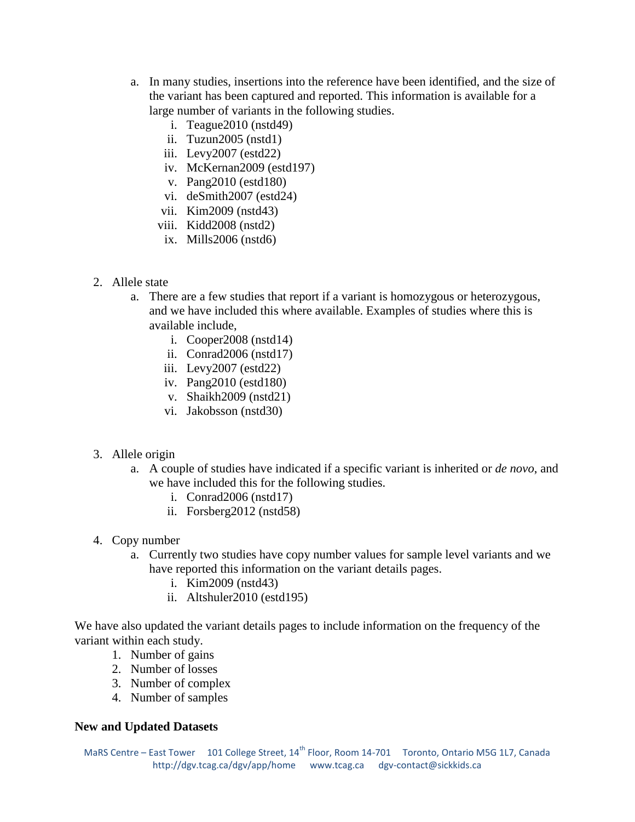- a. In many studies, insertions into the reference have been identified, and the size of the variant has been captured and reported. This information is available for a large number of variants in the following studies.
	- i. Teague2010 (nstd49)
	- ii. Tuzun2005 (nstd1)
	- iii. Levy2007 (estd22)
	- iv. McKernan2009 (estd197)
	- v. Pang2010 (estd180)
	- vi. deSmith2007 (estd24)
	- vii. Kim2009 (nstd43)
	- viii. Kidd2008 (nstd2)
	- ix. Mills2006 (nstd6)
- 2. Allele state
	- a. There are a few studies that report if a variant is homozygous or heterozygous, and we have included this where available. Examples of studies where this is available include,
		- i. Cooper2008 (nstd14)
		- ii. Conrad2006 (nstd17)
		- iii. Levy2007 (estd22)
		- iv. Pang2010 (estd180)
		- v. Shaikh2009 (nstd21)
		- vi. Jakobsson (nstd30)
- 3. Allele origin
	- a. A couple of studies have indicated if a specific variant is inherited or *de novo*, and we have included this for the following studies.
		- i. Conrad2006 (nstd17)
		- ii. Forsberg2012 (nstd58)
- 4. Copy number
	- a. Currently two studies have copy number values for sample level variants and we have reported this information on the variant details pages.
		- i. Kim2009 (nstd43)
		- ii. Altshuler2010 (estd195)

We have also updated the variant details pages to include information on the frequency of the variant within each study.

- 1. Number of gains
- 2. Number of losses
- 3. Number of complex
- 4. Number of samples

## **New and Updated Datasets**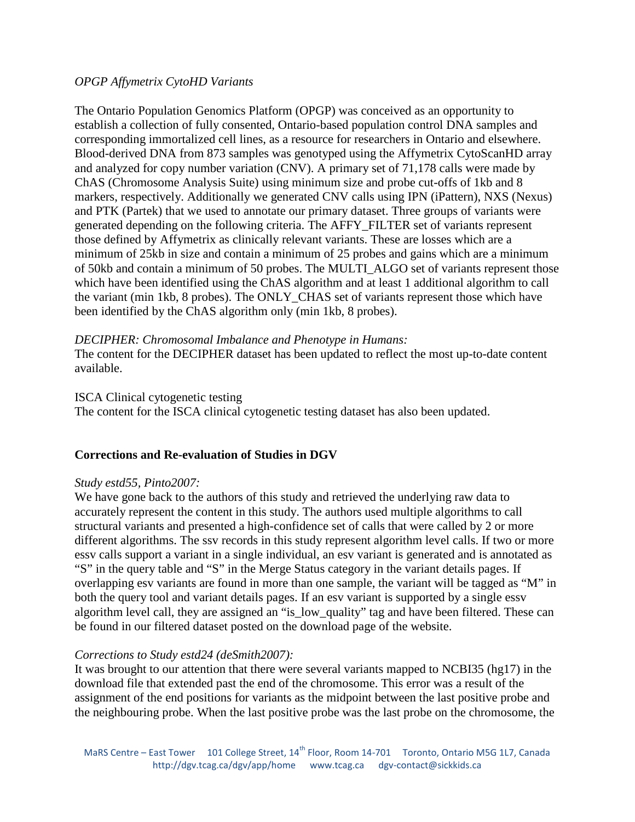# *OPGP Affymetrix CytoHD Variants*

The Ontario Population Genomics Platform (OPGP) was conceived as an opportunity to establish a collection of fully consented, Ontario-based population control DNA samples and corresponding immortalized cell lines, as a resource for researchers in Ontario and elsewhere. Blood-derived DNA from 873 samples was genotyped using the Affymetrix CytoScanHD array and analyzed for copy number variation (CNV). A primary set of 71,178 calls were made by ChAS (Chromosome Analysis Suite) using minimum size and probe cut-offs of 1kb and 8 markers, respectively. Additionally we generated CNV calls using IPN (iPattern), NXS (Nexus) and PTK (Partek) that we used to annotate our primary dataset. Three groups of variants were generated depending on the following criteria. The AFFY\_FILTER set of variants represent those defined by Affymetrix as clinically relevant variants. These are losses which are a minimum of 25kb in size and contain a minimum of 25 probes and gains which are a minimum of 50kb and contain a minimum of 50 probes. The MULTI\_ALGO set of variants represent those which have been identified using the ChAS algorithm and at least 1 additional algorithm to call the variant (min 1kb, 8 probes). The ONLY\_CHAS set of variants represent those which have been identified by the ChAS algorithm only (min 1kb, 8 probes).

## *DECIPHER: Chromosomal Imbalance and Phenotype in Humans:*

The content for the DECIPHER dataset has been updated to reflect the most up-to-date content available.

#### ISCA Clinical cytogenetic testing

The content for the ISCA clinical cytogenetic testing dataset has also been updated.

## **Corrections and Re-evaluation of Studies in DGV**

## *Study estd55, Pinto2007:*

We have gone back to the authors of this study and retrieved the underlying raw data to accurately represent the content in this study. The authors used multiple algorithms to call structural variants and presented a high-confidence set of calls that were called by 2 or more different algorithms. The ssv records in this study represent algorithm level calls. If two or more essv calls support a variant in a single individual, an esv variant is generated and is annotated as "S" in the query table and "S" in the Merge Status category in the variant details pages. If overlapping esv variants are found in more than one sample, the variant will be tagged as "M" in both the query tool and variant details pages. If an esv variant is supported by a single essv algorithm level call, they are assigned an "is\_low\_quality" tag and have been filtered. These can be found in our filtered dataset posted on the download page of the website.

## *Corrections to Study estd24 (deSmith2007):*

It was brought to our attention that there were several variants mapped to NCBI35 (hg17) in the download file that extended past the end of the chromosome. This error was a result of the assignment of the end positions for variants as the midpoint between the last positive probe and the neighbouring probe. When the last positive probe was the last probe on the chromosome, the